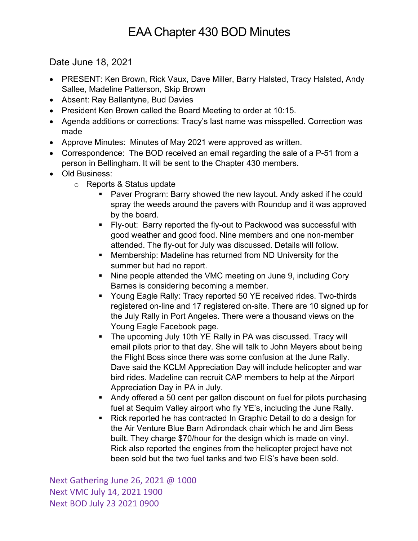## EAA Chapter 430 BOD Minutes

Date June 18, 2021

- PRESENT: Ken Brown, Rick Vaux, Dave Miller, Barry Halsted, Tracy Halsted, Andy Sallee, Madeline Patterson, Skip Brown
- Absent: Ray Ballantyne, Bud Davies
- President Ken Brown called the Board Meeting to order at 10:15.
- Agenda additions or corrections: Tracy's last name was misspelled. Correction was made
- Approve Minutes: Minutes of May 2021 were approved as written.
- Correspondence: The BOD received an email regarding the sale of a P-51 from a person in Bellingham. It will be sent to the Chapter 430 members.
- Old Business:
	- o Reports & Status update
		- § Paver Program: Barry showed the new layout. Andy asked if he could spray the weeds around the pavers with Roundup and it was approved by the board.
		- § Fly-out: Barry reported the fly-out to Packwood was successful with good weather and good food. Nine members and one non-member attended. The fly-out for July was discussed. Details will follow.
		- Membership: Madeline has returned from ND University for the summer but had no report.
		- Nine people attended the VMC meeting on June 9, including Cory Barnes is considering becoming a member.
		- Young Eagle Rally: Tracy reported 50 YE received rides. Two-thirds registered on-line and 17 registered on-site. There are 10 signed up for the July Rally in Port Angeles. There were a thousand views on the Young Eagle Facebook page.
		- The upcoming July 10th YE Rally in PA was discussed. Tracy will email pilots prior to that day. She will talk to John Meyers about being the Flight Boss since there was some confusion at the June Rally. Dave said the KCLM Appreciation Day will include helicopter and war bird rides. Madeline can recruit CAP members to help at the Airport Appreciation Day in PA in July.
		- Andy offered a 50 cent per gallon discount on fuel for pilots purchasing fuel at Sequim Valley airport who fly YE's, including the June Rally.
		- Rick reported he has contracted In Graphic Detail to do a design for the Air Venture Blue Barn Adirondack chair which he and Jim Bess built. They charge \$70/hour for the design which is made on vinyl. Rick also reported the engines from the helicopter project have not been sold but the two fuel tanks and two EIS's have been sold.

Next Gathering June 26, 2021 @ 1000 Next VMC July 14, 2021 1900 Next BOD July 23 2021 0900